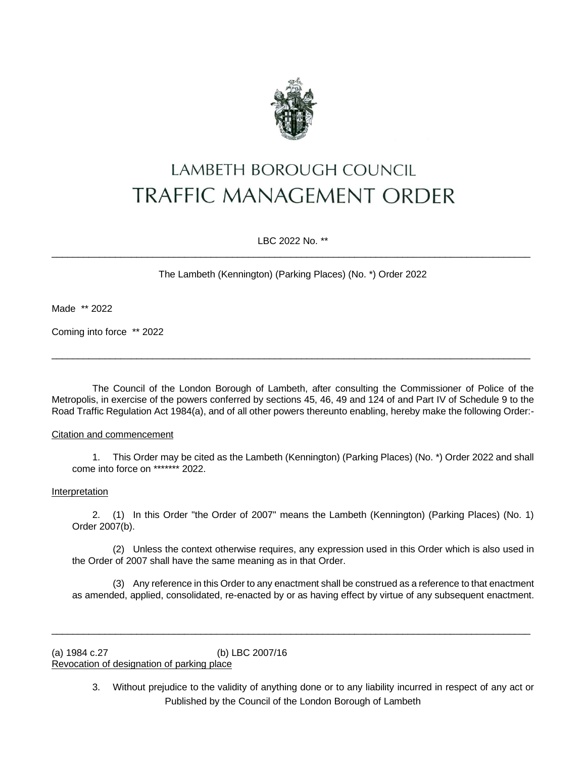

# LAMBETH BOROUGH COUNCIL **TRAFFIC MANAGEMENT ORDER**

LBC 2022 No. \*\*  $\overline{\phantom{a}}$  ,  $\overline{\phantom{a}}$  ,  $\overline{\phantom{a}}$  ,  $\overline{\phantom{a}}$  ,  $\overline{\phantom{a}}$  ,  $\overline{\phantom{a}}$  ,  $\overline{\phantom{a}}$  ,  $\overline{\phantom{a}}$  ,  $\overline{\phantom{a}}$  ,  $\overline{\phantom{a}}$  ,  $\overline{\phantom{a}}$  ,  $\overline{\phantom{a}}$  ,  $\overline{\phantom{a}}$  ,  $\overline{\phantom{a}}$  ,  $\overline{\phantom{a}}$  ,  $\overline{\phantom{a}}$ 

The Lambeth (Kennington) (Parking Places) (No. \*) Order 2022

Made \*\* 2022

Coming into force \*\* 2022

The Council of the London Borough of Lambeth, after consulting the Commissioner of Police of the Metropolis, in exercise of the powers conferred by sections 45, 46, 49 and 124 of and Part IV of Schedule 9 to the Road Traffic Regulation Act 1984(a), and of all other powers thereunto enabling, hereby make the following Order:-

 $\_$  ,  $\_$  ,  $\_$  ,  $\_$  ,  $\_$  ,  $\_$  ,  $\_$  ,  $\_$  ,  $\_$  ,  $\_$  ,  $\_$  ,  $\_$  ,  $\_$  ,  $\_$  ,  $\_$  ,  $\_$  ,  $\_$  ,  $\_$  ,  $\_$  ,  $\_$  ,  $\_$  ,  $\_$  ,  $\_$  ,  $\_$  ,  $\_$  ,  $\_$  ,  $\_$  ,  $\_$  ,  $\_$  ,  $\_$  ,  $\_$  ,  $\_$  ,  $\_$  ,  $\_$  ,  $\_$  ,  $\_$  ,  $\_$  ,

#### Citation and commencement

1. This Order may be cited as the Lambeth (Kennington) (Parking Places) (No. \*) Order 2022 and shall come into force on \*\*\*\*\*\*\* 2022.

#### Interpretation

2. (1) In this Order "the Order of 2007" means the Lambeth (Kennington) (Parking Places) (No. 1) Order 2007(b).

(2) Unless the context otherwise requires, any expression used in this Order which is also used in the Order of 2007 shall have the same meaning as in that Order.

(3) Any reference in this Order to any enactment shall be construed as a reference to that enactment as amended, applied, consolidated, re-enacted by or as having effect by virtue of any subsequent enactment.

 $\overline{\phantom{a}}$  ,  $\overline{\phantom{a}}$  ,  $\overline{\phantom{a}}$  ,  $\overline{\phantom{a}}$  ,  $\overline{\phantom{a}}$  ,  $\overline{\phantom{a}}$  ,  $\overline{\phantom{a}}$  ,  $\overline{\phantom{a}}$  ,  $\overline{\phantom{a}}$  ,  $\overline{\phantom{a}}$  ,  $\overline{\phantom{a}}$  ,  $\overline{\phantom{a}}$  ,  $\overline{\phantom{a}}$  ,  $\overline{\phantom{a}}$  ,  $\overline{\phantom{a}}$  ,  $\overline{\phantom{a}}$ 

(a) 1984 c.27 (b) LBC 2007/16 Revocation of designation of parking place

> Published by the Council of the London Borough of Lambeth 3. Without prejudice to the validity of anything done or to any liability incurred in respect of any act or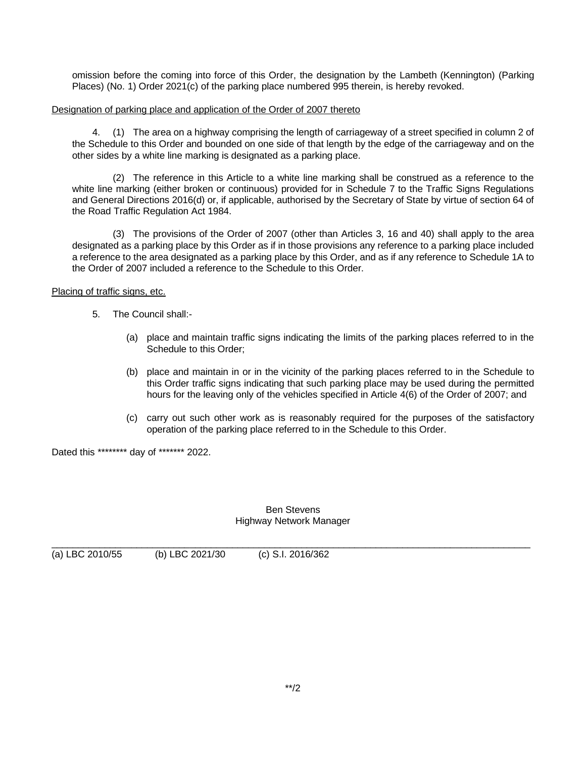omission before the coming into force of this Order, the designation by the Lambeth (Kennington) (Parking Places) (No. 1) Order 2021(c) of the parking place numbered 995 therein, is hereby revoked.

## Designation of parking place and application of the Order of 2007 thereto

4. (1) The area on a highway comprising the length of carriageway of a street specified in column 2 of the Schedule to this Order and bounded on one side of that length by the edge of the carriageway and on the other sides by a white line marking is designated as a parking place.

(2) The reference in this Article to a white line marking shall be construed as a reference to the white line marking (either broken or continuous) provided for in Schedule 7 to the Traffic Signs Regulations and General Directions 2016(d) or, if applicable, authorised by the Secretary of State by virtue of section 64 of the Road Traffic Regulation Act 1984.

(3) The provisions of the Order of 2007 (other than Articles 3, 16 and 40) shall apply to the area designated as a parking place by this Order as if in those provisions any reference to a parking place included a reference to the area designated as a parking place by this Order, and as if any reference to Schedule 1A to the Order of 2007 included a reference to the Schedule to this Order.

# Placing of traffic signs, etc.

- 5. The Council shall:-
	- (a) place and maintain traffic signs indicating the limits of the parking places referred to in the Schedule to this Order;
	- (b) place and maintain in or in the vicinity of the parking places referred to in the Schedule to this Order traffic signs indicating that such parking place may be used during the permitted hours for the leaving only of the vehicles specified in Article 4(6) of the Order of 2007; and
	- (c) carry out such other work as is reasonably required for the purposes of the satisfactory operation of the parking place referred to in the Schedule to this Order.

Dated this \*\*\*\*\*\*\*\* day of \*\*\*\*\*\*\* 2022.

## Ben Stevens Highway Network Manager

 $\_$  ,  $\_$  ,  $\_$  ,  $\_$  ,  $\_$  ,  $\_$  ,  $\_$  ,  $\_$  ,  $\_$  ,  $\_$  ,  $\_$  ,  $\_$  ,  $\_$  ,  $\_$  ,  $\_$  ,  $\_$  ,  $\_$  ,  $\_$  ,  $\_$  ,  $\_$  ,  $\_$  ,  $\_$  ,  $\_$  ,  $\_$  ,  $\_$  ,  $\_$  ,  $\_$  ,  $\_$  ,  $\_$  ,  $\_$  ,  $\_$  ,  $\_$  ,  $\_$  ,  $\_$  ,  $\_$  ,  $\_$  ,  $\_$  ,

(a) LBC 2010/55 (b) LBC 2021/30 (c) S.I. 2016/362